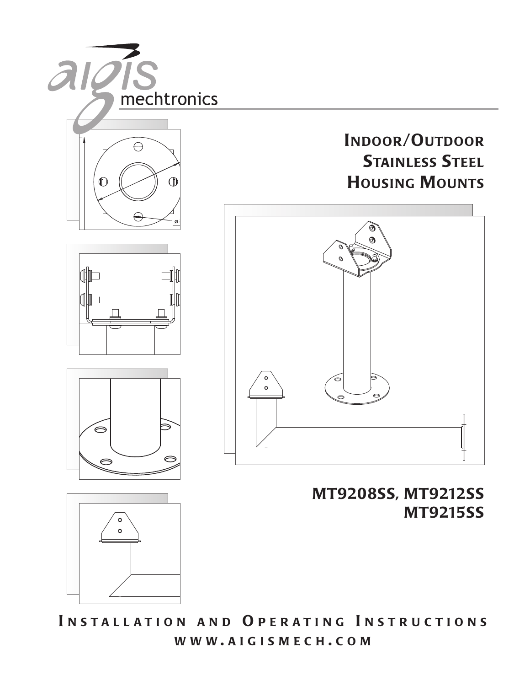

3.50 ø **WWW . AIGISMECH . COM I NSTALLATION AN D O PERATI NG I NSTRUCTIONS**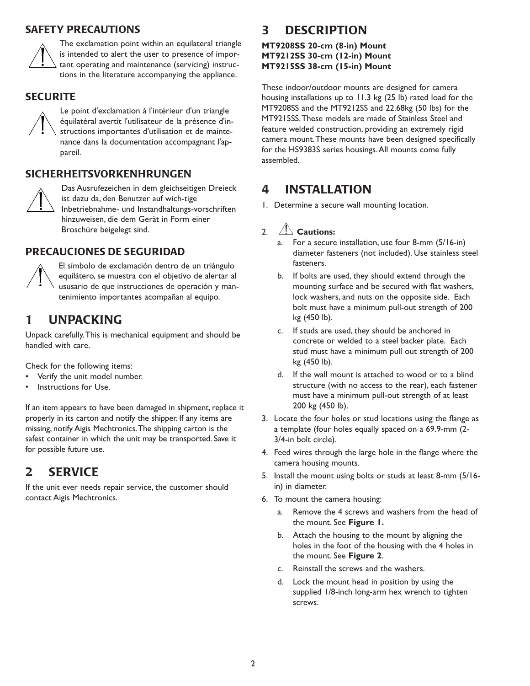#### **SAFETY PRECAUTIONS**



The exclamation point within an equilateral triangle is intended to alert the user to presence of important operating and maintenance (servicing) instructions in the literature accompanying the appliance.

#### **SECURITE**



Le point d'exclamation à l'intérieur d'un triangle équilatéral avertit l'utilisateur de la présence d'instructions importantes d'utilisation et de maintenance dans la documentation accompagnant l'appareil.

### **SICHERHEITSVORKENHRUNGEN**



Das Ausrufezeichen in dem gleichseitigen Dreieck ist dazu da, den Benutzer auf wich-tige Inbetriebnahme- und Instandhaltungs-vorschriften hinzuweisen, die dem Gerät in Form einer Broschüre beigelegt sind.

### **PRECAUCIONES DE SEGURIDAD**



El símbolo de exclamación dentro de un triángulo equilátero, se muestra con el objetivo de alertar al ususario de que instrucciones de operación y mantenimiento importantes acompañan al equipo.

# **1 UNPACKING**

Unpack carefully.This is mechanical equipment and should be handled with care.

Check for the following items:

- Verify the unit model number.
- Instructions for Use.

If an item appears to have been damaged in shipment, replace it properly in its carton and notify the shipper. If any items are missing, notify Aigis Mechtronics.The shipping carton is the safest container in which the unit may be transported. Save it for possible future use.

# **2 SERVICE**

If the unit ever needs repair service, the customer should contact Aigis Mechtronics.

# **3 DESCRIPTION**

#### **MT9208SS 20-cm (8-in) Mount MT9212SS 30-cm (12-in) Mount MT9215SS 38-cm (15-in) Mount**

These indoor/outdoor mounts are designed for camera housing installations up to 11.3 kg (25 lb) rated load for the MT9208SS and the MT9212SS and 22.68kg (50 lbs) for the MT9215SS.These models are made of Stainless Steel and feature welded construction, providing an extremely rigid camera mount.These mounts have been designed specifically for the HS9383S series housings.All mounts come fully assembled.

# **4 INSTALLATION**

1. Determine a secure wall mounting location.

#### 2. **Cautions:**

- a. For a secure installation, use four 8-mm (5/16-in) diameter fasteners (not included). Use stainless steel fasteners.
- b. If bolts are used, they should extend through the mounting surface and be secured with flat washers, lock washers, and nuts on the opposite side. Each bolt must have a minimum pull-out strength of 200 kg (450 lb).
- c. If studs are used, they should be anchored in concrete or welded to a steel backer plate. Each stud must have a minimum pull out strength of 200 kg (450 lb).
- d. If the wall mount is attached to wood or to a blind structure (with no access to the rear), each fastener must have a minimum pull-out strength of at least 200 kg (450 lb).
- 3. Locate the four holes or stud locations using the flange as a template (four holes equally spaced on a 69.9-mm (2- 3/4-in bolt circle).
- 4. Feed wires through the large hole in the flange where the camera housing mounts.
- 5. Install the mount using bolts or studs at least 8-mm (5/16 in) in diameter.
- 6. To mount the camera housing:
	- a. Remove the 4 screws and washers from the head of the mount. See **Figure 1.**
	- b. Attach the housing to the mount by aligning the holes in the foot of the housing with the 4 holes in the mount. See **Figure 2**.
	- c. Reinstall the screws and the washers.
	- d. Lock the mount head in position by using the supplied 1/8-inch long-arm hex wrench to tighten screws.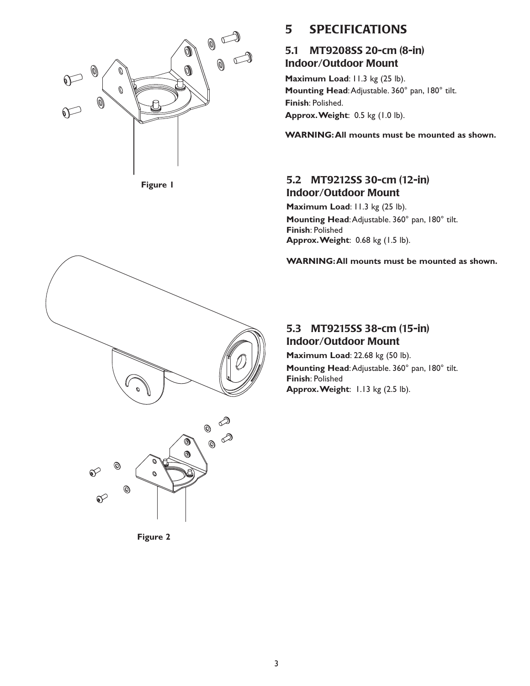

**Figure 1** 

## **5 SPECIFICATIONS**

### **5.1 MT9208SS 20-cm (8-in) Indoor/Outdoor Mount**

**Maximum Load**: 11.3 kg (25 lb). **Mounting Head**:Adjustable. 360° pan, 180° tilt. **Finish**: Polished. **Approx.Weight**: 0.5 kg (1.0 lb).

**WARNING:All mounts must be mounted as shown.**

### **5.2 MT9212SS 30-cm (12-in) Indoor/Outdoor Mount**

**Maximum Load**: 11.3 kg (25 lb). **Mounting Head**:Adjustable. 360° pan, 180° tilt. **Finish**: Polished **Approx.Weight**: 0.68 kg (1.5 lb).

**WARNING:All mounts must be mounted as shown.**

### **5.3 MT9215SS 38-cm (15-in) Indoor/Outdoor Mount**

**Maximum Load**: 22.68 kg (50 lb). **Mounting Head**:Adjustable. 360° pan, 180° tilt. **Finish**: Polished **Approx.Weight**: 1.13 kg (2.5 lb).



**Figure 2**

 $\mathcal{O}$ 

 $^\copyright$ 

୶

 $\bigotimes$